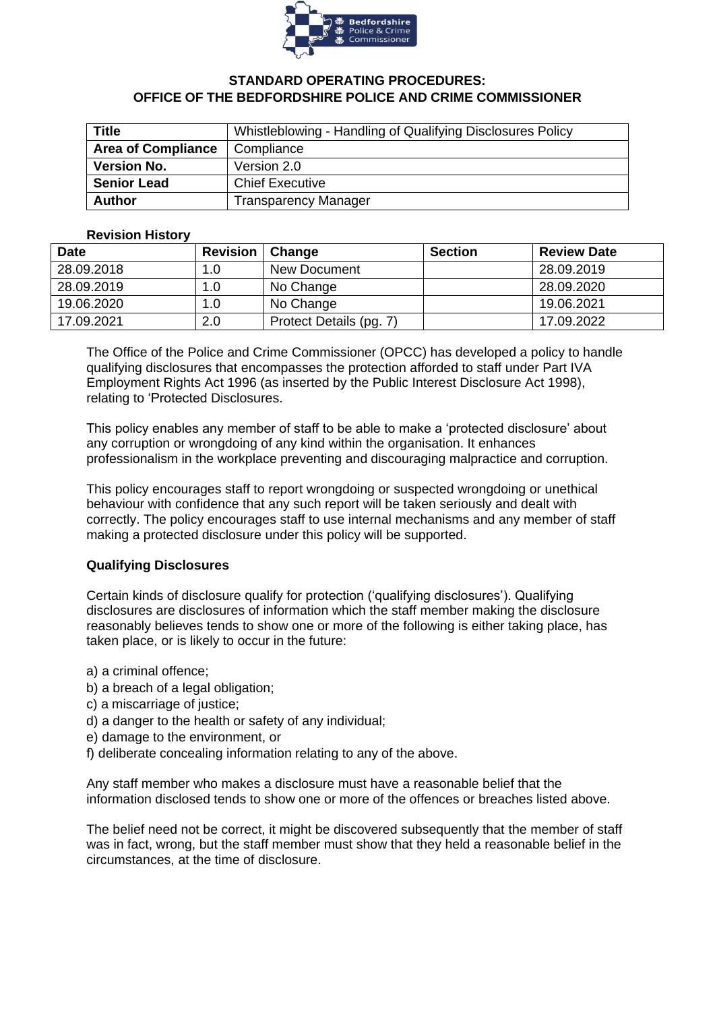

# **STANDARD OPERATING PROCEDURES: OFFICE OF THE BEDFORDSHIRE POLICE AND CRIME COMMISSIONER**

| Title                     | Whistleblowing - Handling of Qualifying Disclosures Policy |  |  |  |
|---------------------------|------------------------------------------------------------|--|--|--|
| <b>Area of Compliance</b> | Compliance                                                 |  |  |  |
| <b>Version No.</b>        | Version 2.0                                                |  |  |  |
| <b>Senior Lead</b>        | <b>Chief Executive</b>                                     |  |  |  |
| <b>Author</b>             | <b>Transparency Manager</b>                                |  |  |  |

## **Revision History**

| <b>Date</b> | <b>Revision</b> | Change                  | <b>Section</b> | <b>Review Date</b> |
|-------------|-----------------|-------------------------|----------------|--------------------|
| 28.09.2018  | 1.0             | <b>New Document</b>     |                | 28.09.2019         |
| 28.09.2019  | 1.0             | No Change               |                | 28.09.2020         |
| 19.06.2020  | 1.0             | No Change               |                | 19.06.2021         |
| 17.09.2021  | 2.0             | Protect Details (pg. 7) |                | 17.09.2022         |

The Office of the Police and Crime Commissioner (OPCC) has developed a policy to handle qualifying disclosures that encompasses the protection afforded to staff under Part IVA Employment Rights Act 1996 (as inserted by the Public Interest Disclosure Act 1998), relating to 'Protected Disclosures.

This policy enables any member of staff to be able to make a 'protected disclosure' about any corruption or wrongdoing of any kind within the organisation. It enhances professionalism in the workplace preventing and discouraging malpractice and corruption.

This policy encourages staff to report wrongdoing or suspected wrongdoing or unethical behaviour with confidence that any such report will be taken seriously and dealt with correctly. The policy encourages staff to use internal mechanisms and any member of staff making a protected disclosure under this policy will be supported.

# **Qualifying Disclosures**

Certain kinds of disclosure qualify for protection ('qualifying disclosures'). Qualifying disclosures are disclosures of information which the staff member making the disclosure reasonably believes tends to show one or more of the following is either taking place, has taken place, or is likely to occur in the future:

- a) a criminal offence;
- b) a breach of a legal obligation;
- c) a miscarriage of justice;
- d) a danger to the health or safety of any individual;
- e) damage to the environment, or
- f) deliberate concealing information relating to any of the above.

Any staff member who makes a disclosure must have a reasonable belief that the information disclosed tends to show one or more of the offences or breaches listed above.

The belief need not be correct, it might be discovered subsequently that the member of staff was in fact, wrong, but the staff member must show that they held a reasonable belief in the circumstances, at the time of disclosure.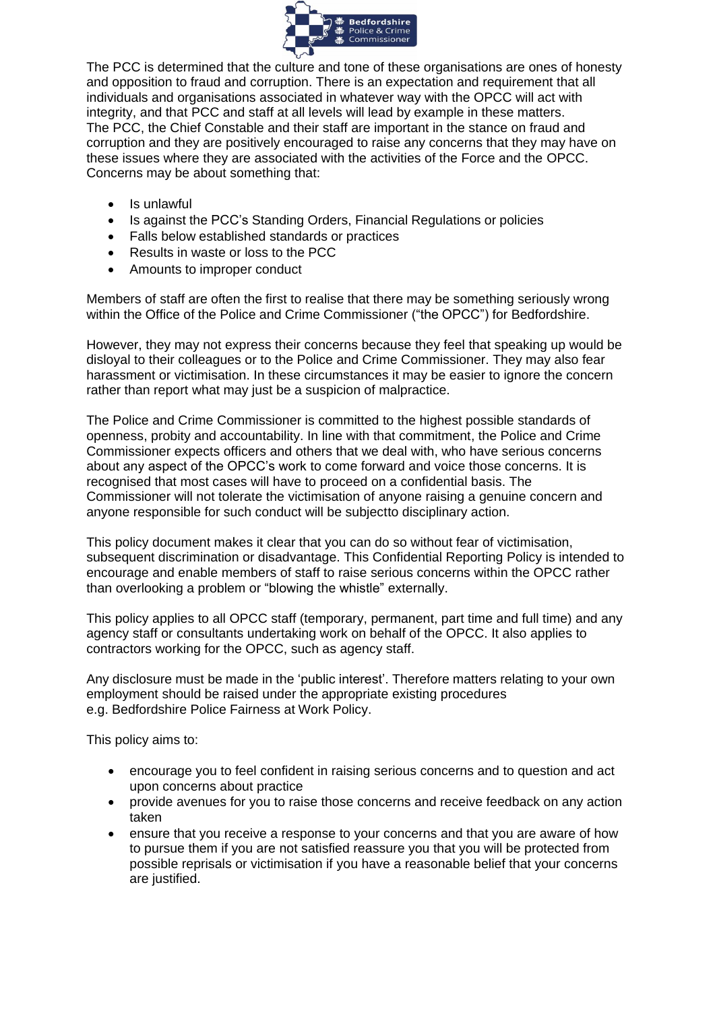

The PCC is determined that the culture and tone of these organisations are ones of honesty and opposition to fraud and corruption. There is an expectation and requirement that all individuals and organisations associated in whatever way with the OPCC will act with integrity, and that PCC and staff at all levels will lead by example in these matters. The PCC, the Chief Constable and their staff are important in the stance on fraud and corruption and they are positively encouraged to raise any concerns that they may have on these issues where they are associated with the activities of the Force and the OPCC. Concerns may be about something that:

- Is unlawful
- Is against the PCC's Standing Orders, Financial Regulations or policies
- Falls below established standards or practices
- Results in waste or loss to the PCC
- Amounts to improper conduct

Members of staff are often the first to realise that there may be something seriously wrong within the Office of the Police and Crime Commissioner ("the OPCC") for Bedfordshire.

However, they may not express their concerns because they feel that speaking up would be disloyal to their colleagues or to the Police and Crime Commissioner. They may also fear harassment or victimisation. In these circumstances it may be easier to ignore the concern rather than report what may just be a suspicion of malpractice.

The Police and Crime Commissioner is committed to the highest possible standards of openness, probity and accountability. In line with that commitment, the Police and Crime Commissioner expects officers and others that we deal with, who have serious concerns about any aspect of the OPCC's work to come forward and voice those concerns. It is recognised that most cases will have to proceed on a confidential basis. The Commissioner will not tolerate the victimisation of anyone raising a genuine concern and anyone responsible for such conduct will be subjectto disciplinary action.

This policy document makes it clear that you can do so without fear of victimisation, subsequent discrimination or disadvantage. This Confidential Reporting Policy is intended to encourage and enable members of staff to raise serious concerns within the OPCC rather than overlooking a problem or "blowing the whistle" externally.

This policy applies to all OPCC staff (temporary, permanent, part time and full time) and any agency staff or consultants undertaking work on behalf of the OPCC. It also applies to contractors working for the OPCC, such as agency staff.

Any disclosure must be made in the 'public interest'. Therefore matters relating to your own employment should be raised under the appropriate existing procedures e.g. Bedfordshire Police Fairness at Work Policy.

This policy aims to:

- encourage you to feel confident in raising serious concerns and to question and act upon concerns about practice
- provide avenues for you to raise those concerns and receive feedback on any action taken
- ensure that you receive a response to your concerns and that you are aware of how to pursue them if you are not satisfied reassure you that you will be protected from possible reprisals or victimisation if you have a reasonable belief that your concerns are justified.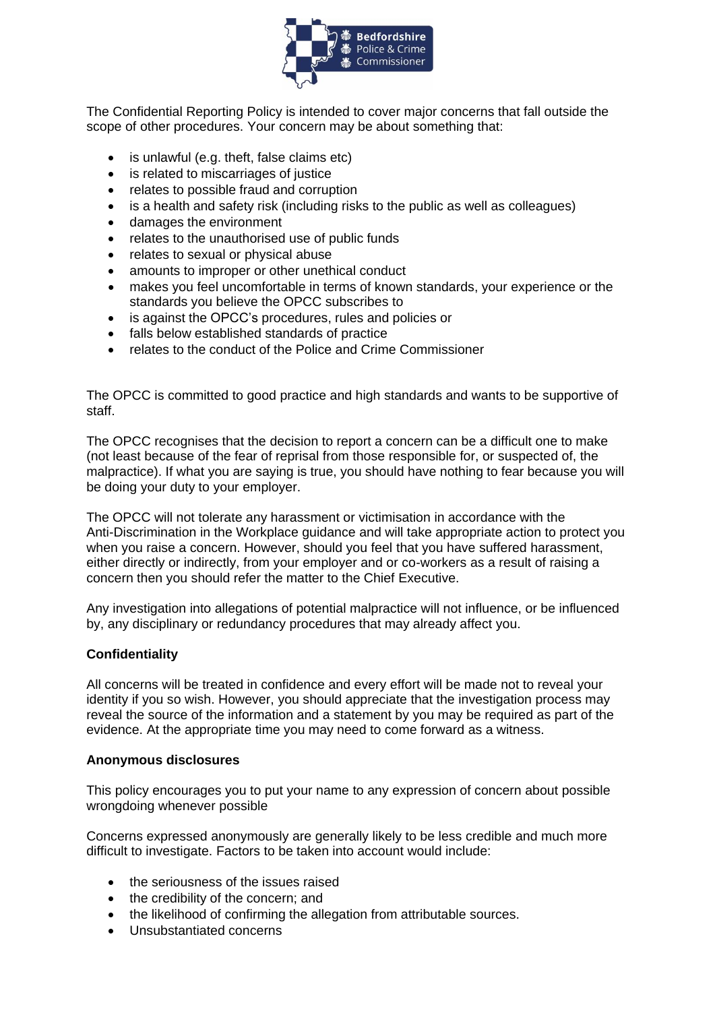

The Confidential Reporting Policy is intended to cover major concerns that fall outside the scope of other procedures. Your concern may be about something that:

- is unlawful (e.g. theft, false claims etc)
- is related to miscarriages of justice
- relates to possible fraud and corruption
- is a health and safety risk (including risks to the public as well as colleagues)
- damages the environment
- relates to the unauthorised use of public funds
- relates to sexual or physical abuse
- amounts to improper or other unethical conduct
- makes you feel uncomfortable in terms of known standards, your experience or the standards you believe the OPCC subscribes to
- is against the OPCC's procedures, rules and policies or
- falls below established standards of practice
- relates to the conduct of the Police and Crime Commissioner

The OPCC is committed to good practice and high standards and wants to be supportive of staff.

The OPCC recognises that the decision to report a concern can be a difficult one to make (not least because of the fear of reprisal from those responsible for, or suspected of, the malpractice). If what you are saying is true, you should have nothing to fear because you will be doing your duty to your employer.

The OPCC will not tolerate any harassment or victimisation in accordance with the Anti-Discrimination in the Workplace guidance and will take appropriate action to protect you when you raise a concern. However, should you feel that you have suffered harassment, either directly or indirectly, from your employer and or co-workers as a result of raising a concern then you should refer the matter to the Chief Executive.

Any investigation into allegations of potential malpractice will not influence, or be influenced by, any disciplinary or redundancy procedures that may already affect you.

#### **Confidentiality**

All concerns will be treated in confidence and every effort will be made not to reveal your identity if you so wish. However, you should appreciate that the investigation process may reveal the source of the information and a statement by you may be required as part of the evidence. At the appropriate time you may need to come forward as a witness.

#### **Anonymous disclosures**

This policy encourages you to put your name to any expression of concern about possible wrongdoing whenever possible

Concerns expressed anonymously are generally likely to be less credible and much more difficult to investigate. Factors to be taken into account would include:

- the seriousness of the issues raised
- the credibility of the concern; and
- the likelihood of confirming the allegation from attributable sources.
- Unsubstantiated concerns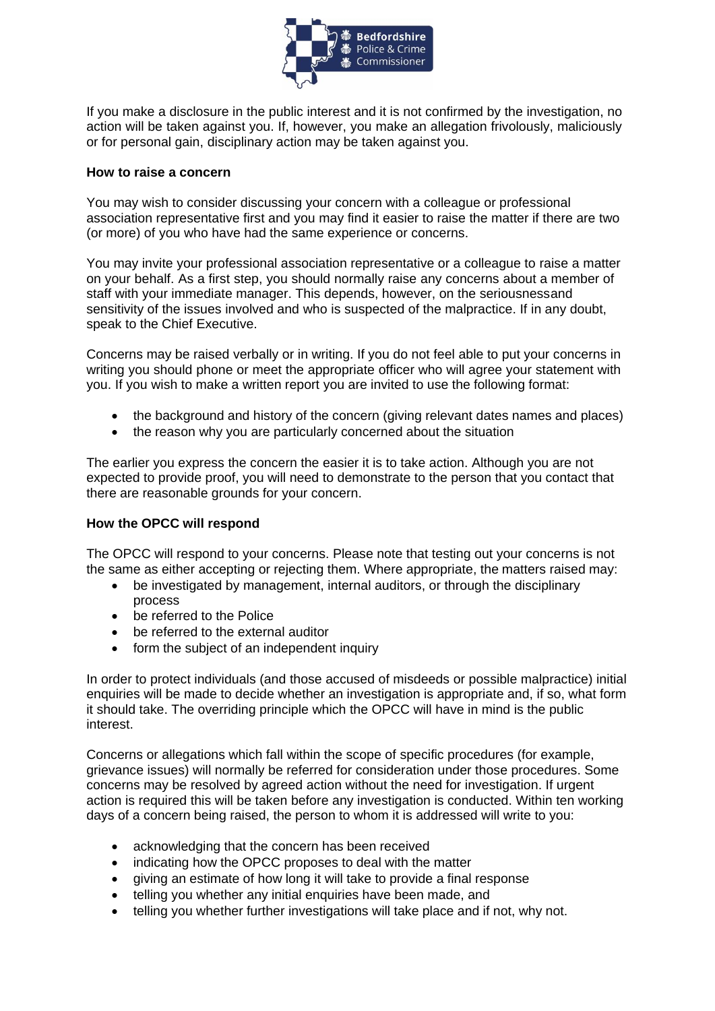

If you make a disclosure in the public interest and it is not confirmed by the investigation, no action will be taken against you. If, however, you make an allegation frivolously, maliciously or for personal gain, disciplinary action may be taken against you.

#### **How to raise a concern**

You may wish to consider discussing your concern with a colleague or professional association representative first and you may find it easier to raise the matter if there are two (or more) of you who have had the same experience or concerns.

You may invite your professional association representative or a colleague to raise a matter on your behalf. As a first step, you should normally raise any concerns about a member of staff with your immediate manager. This depends, however, on the seriousnessand sensitivity of the issues involved and who is suspected of the malpractice. If in any doubt, speak to the Chief Executive.

Concerns may be raised verbally or in writing. If you do not feel able to put your concerns in writing you should phone or meet the appropriate officer who will agree your statement with you. If you wish to make a written report you are invited to use the following format:

- the background and history of the concern (giving relevant dates names and places)
- the reason why you are particularly concerned about the situation

The earlier you express the concern the easier it is to take action. Although you are not expected to provide proof, you will need to demonstrate to the person that you contact that there are reasonable grounds for your concern.

# **How the OPCC will respond**

The OPCC will respond to your concerns. Please note that testing out your concerns is not the same as either accepting or rejecting them. Where appropriate, the matters raised may:

- be investigated by management, internal auditors, or through the disciplinary process
- be referred to the Police
- be referred to the external auditor
- form the subject of an independent inquiry

In order to protect individuals (and those accused of misdeeds or possible malpractice) initial enquiries will be made to decide whether an investigation is appropriate and, if so, what form it should take. The overriding principle which the OPCC will have in mind is the public interest.

Concerns or allegations which fall within the scope of specific procedures (for example, grievance issues) will normally be referred for consideration under those procedures. Some concerns may be resolved by agreed action without the need for investigation. If urgent action is required this will be taken before any investigation is conducted. Within ten working days of a concern being raised, the person to whom it is addressed will write to you:

- acknowledging that the concern has been received
- indicating how the OPCC proposes to deal with the matter
- giving an estimate of how long it will take to provide a final response
- telling you whether any initial enquiries have been made, and
- telling you whether further investigations will take place and if not, why not.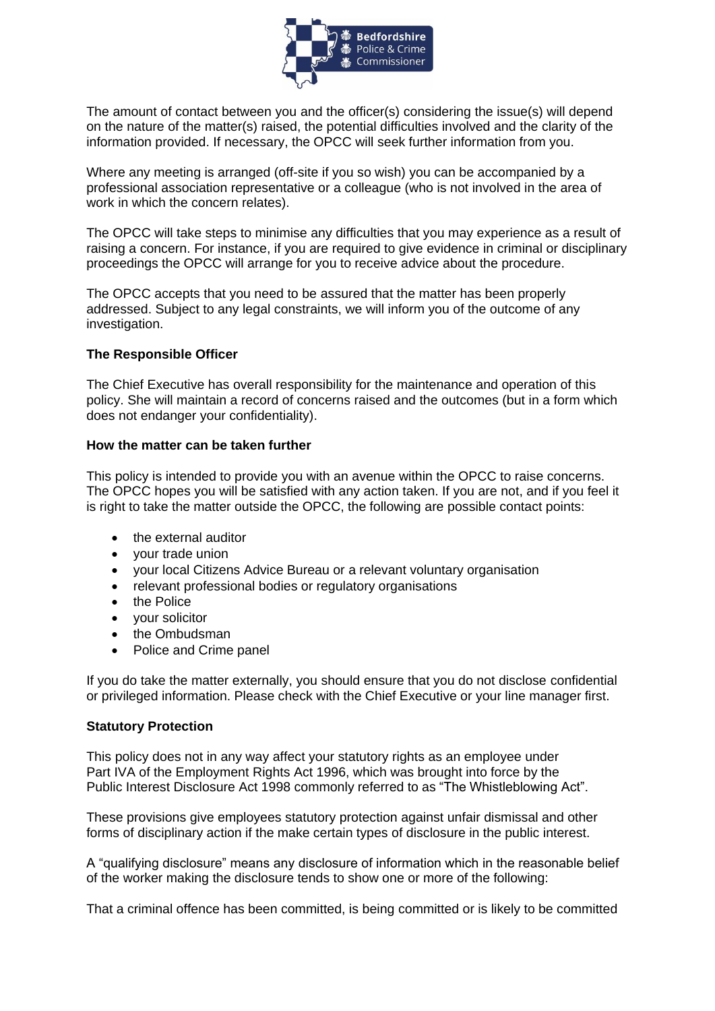

The amount of contact between you and the officer(s) considering the issue(s) will depend on the nature of the matter(s) raised, the potential difficulties involved and the clarity of the information provided. If necessary, the OPCC will seek further information from you.

Where any meeting is arranged (off-site if you so wish) you can be accompanied by a professional association representative or a colleague (who is not involved in the area of work in which the concern relates).

The OPCC will take steps to minimise any difficulties that you may experience as a result of raising a concern. For instance, if you are required to give evidence in criminal or disciplinary proceedings the OPCC will arrange for you to receive advice about the procedure.

The OPCC accepts that you need to be assured that the matter has been properly addressed. Subject to any legal constraints, we will inform you of the outcome of any investigation.

## **The Responsible Officer**

The Chief Executive has overall responsibility for the maintenance and operation of this policy. She will maintain a record of concerns raised and the outcomes (but in a form which does not endanger your confidentiality).

## **How the matter can be taken further**

This policy is intended to provide you with an avenue within the OPCC to raise concerns. The OPCC hopes you will be satisfied with any action taken. If you are not, and if you feel it is right to take the matter outside the OPCC, the following are possible contact points:

- the external auditor
- your trade union
- your local Citizens Advice Bureau or a relevant voluntary organisation
- relevant professional bodies or regulatory organisations
- the Police
- your solicitor
- the Ombudsman
- Police and Crime panel

If you do take the matter externally, you should ensure that you do not disclose confidential or privileged information. Please check with the Chief Executive or your line manager first.

#### **Statutory Protection**

This policy does not in any way affect your statutory rights as an employee under Part IVA of the Employment Rights Act 1996, which was brought into force by the Public Interest Disclosure Act 1998 commonly referred to as "The Whistleblowing Act".

These provisions give employees statutory protection against unfair dismissal and other forms of disciplinary action if the make certain types of disclosure in the public interest.

A "qualifying disclosure" means any disclosure of information which in the reasonable belief of the worker making the disclosure tends to show one or more of the following:

That a criminal offence has been committed, is being committed or is likely to be committed